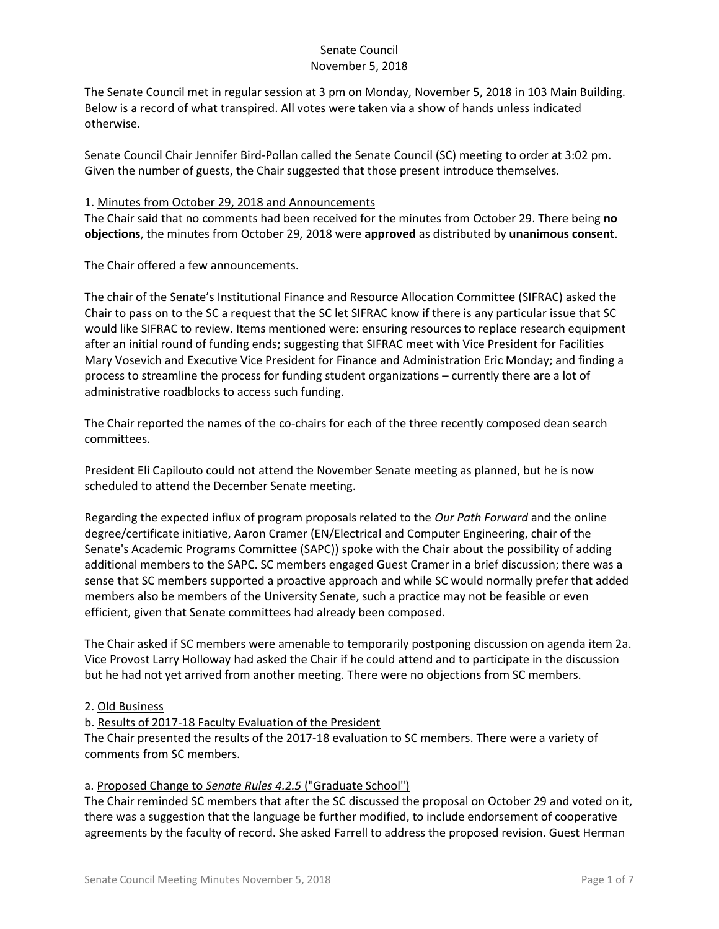The Senate Council met in regular session at 3 pm on Monday, November 5, 2018 in 103 Main Building. Below is a record of what transpired. All votes were taken via a show of hands unless indicated otherwise.

Senate Council Chair Jennifer Bird-Pollan called the Senate Council (SC) meeting to order at 3:02 pm. Given the number of guests, the Chair suggested that those present introduce themselves.

### 1. Minutes from October 29, 2018 and Announcements

The Chair said that no comments had been received for the minutes from October 29. There being **no objections**, the minutes from October 29, 2018 were **approved** as distributed by **unanimous consent**.

The Chair offered a few announcements.

The chair of the Senate's Institutional Finance and Resource Allocation Committee (SIFRAC) asked the Chair to pass on to the SC a request that the SC let SIFRAC know if there is any particular issue that SC would like SIFRAC to review. Items mentioned were: ensuring resources to replace research equipment after an initial round of funding ends; suggesting that SIFRAC meet with Vice President for Facilities Mary Vosevich and Executive Vice President for Finance and Administration Eric Monday; and finding a process to streamline the process for funding student organizations – currently there are a lot of administrative roadblocks to access such funding.

The Chair reported the names of the co-chairs for each of the three recently composed dean search committees.

President Eli Capilouto could not attend the November Senate meeting as planned, but he is now scheduled to attend the December Senate meeting.

Regarding the expected influx of program proposals related to the *Our Path Forward* and the online degree/certificate initiative, Aaron Cramer (EN/Electrical and Computer Engineering, chair of the Senate's Academic Programs Committee (SAPC)) spoke with the Chair about the possibility of adding additional members to the SAPC. SC members engaged Guest Cramer in a brief discussion; there was a sense that SC members supported a proactive approach and while SC would normally prefer that added members also be members of the University Senate, such a practice may not be feasible or even efficient, given that Senate committees had already been composed.

The Chair asked if SC members were amenable to temporarily postponing discussion on agenda item 2a. Vice Provost Larry Holloway had asked the Chair if he could attend and to participate in the discussion but he had not yet arrived from another meeting. There were no objections from SC members.

### 2. Old Business

# b. Results of 2017-18 Faculty Evaluation of the President

The Chair presented the results of the 2017-18 evaluation to SC members. There were a variety of comments from SC members.

### a. Proposed Change to *Senate Rules 4.2.5* ("Graduate School")

The Chair reminded SC members that after the SC discussed the proposal on October 29 and voted on it, there was a suggestion that the language be further modified, to include endorsement of cooperative agreements by the faculty of record. She asked Farrell to address the proposed revision. Guest Herman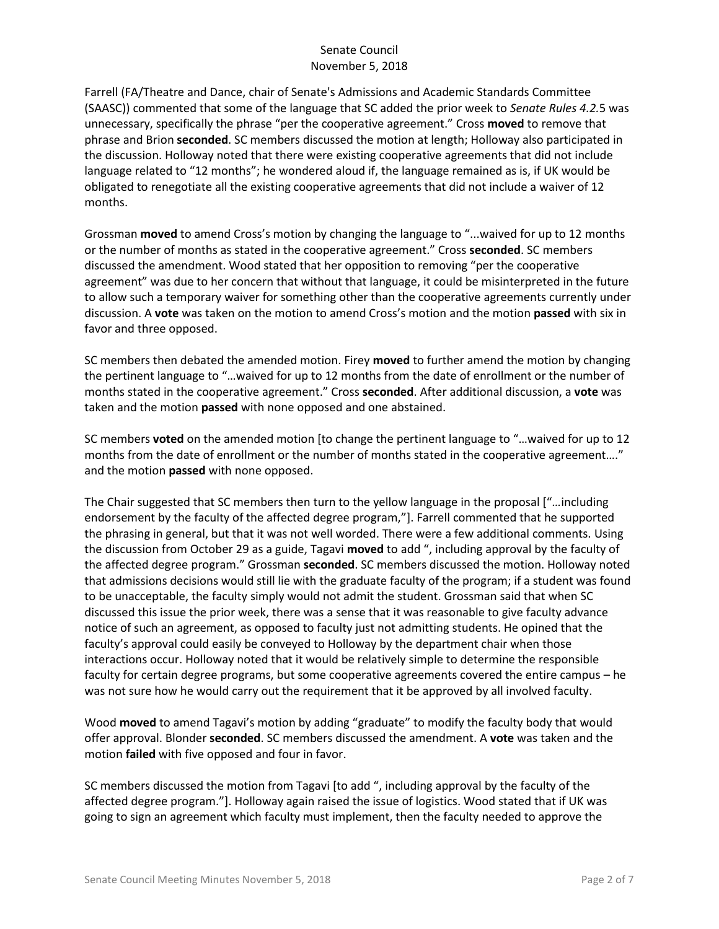Farrell (FA/Theatre and Dance, chair of Senate's Admissions and Academic Standards Committee (SAASC)) commented that some of the language that SC added the prior week to *Senate Rules 4.2.*5 was unnecessary, specifically the phrase "per the cooperative agreement." Cross **moved** to remove that phrase and Brion **seconded**. SC members discussed the motion at length; Holloway also participated in the discussion. Holloway noted that there were existing cooperative agreements that did not include language related to "12 months"; he wondered aloud if, the language remained as is, if UK would be obligated to renegotiate all the existing cooperative agreements that did not include a waiver of 12 months.

Grossman **moved** to amend Cross's motion by changing the language to "...waived for up to 12 months or the number of months as stated in the cooperative agreement." Cross **seconded**. SC members discussed the amendment. Wood stated that her opposition to removing "per the cooperative agreement" was due to her concern that without that language, it could be misinterpreted in the future to allow such a temporary waiver for something other than the cooperative agreements currently under discussion. A **vote** was taken on the motion to amend Cross's motion and the motion **passed** with six in favor and three opposed.

SC members then debated the amended motion. Firey **moved** to further amend the motion by changing the pertinent language to "…waived for up to 12 months from the date of enrollment or the number of months stated in the cooperative agreement." Cross **seconded**. After additional discussion, a **vote** was taken and the motion **passed** with none opposed and one abstained.

SC members **voted** on the amended motion [to change the pertinent language to "…waived for up to 12 months from the date of enrollment or the number of months stated in the cooperative agreement…." and the motion **passed** with none opposed.

The Chair suggested that SC members then turn to the yellow language in the proposal ["…including endorsement by the faculty of the affected degree program,"]. Farrell commented that he supported the phrasing in general, but that it was not well worded. There were a few additional comments. Using the discussion from October 29 as a guide, Tagavi **moved** to add ", including approval by the faculty of the affected degree program." Grossman **seconded**. SC members discussed the motion. Holloway noted that admissions decisions would still lie with the graduate faculty of the program; if a student was found to be unacceptable, the faculty simply would not admit the student. Grossman said that when SC discussed this issue the prior week, there was a sense that it was reasonable to give faculty advance notice of such an agreement, as opposed to faculty just not admitting students. He opined that the faculty's approval could easily be conveyed to Holloway by the department chair when those interactions occur. Holloway noted that it would be relatively simple to determine the responsible faculty for certain degree programs, but some cooperative agreements covered the entire campus – he was not sure how he would carry out the requirement that it be approved by all involved faculty.

Wood **moved** to amend Tagavi's motion by adding "graduate" to modify the faculty body that would offer approval. Blonder **seconded**. SC members discussed the amendment. A **vote** was taken and the motion **failed** with five opposed and four in favor.

SC members discussed the motion from Tagavi [to add ", including approval by the faculty of the affected degree program."]. Holloway again raised the issue of logistics. Wood stated that if UK was going to sign an agreement which faculty must implement, then the faculty needed to approve the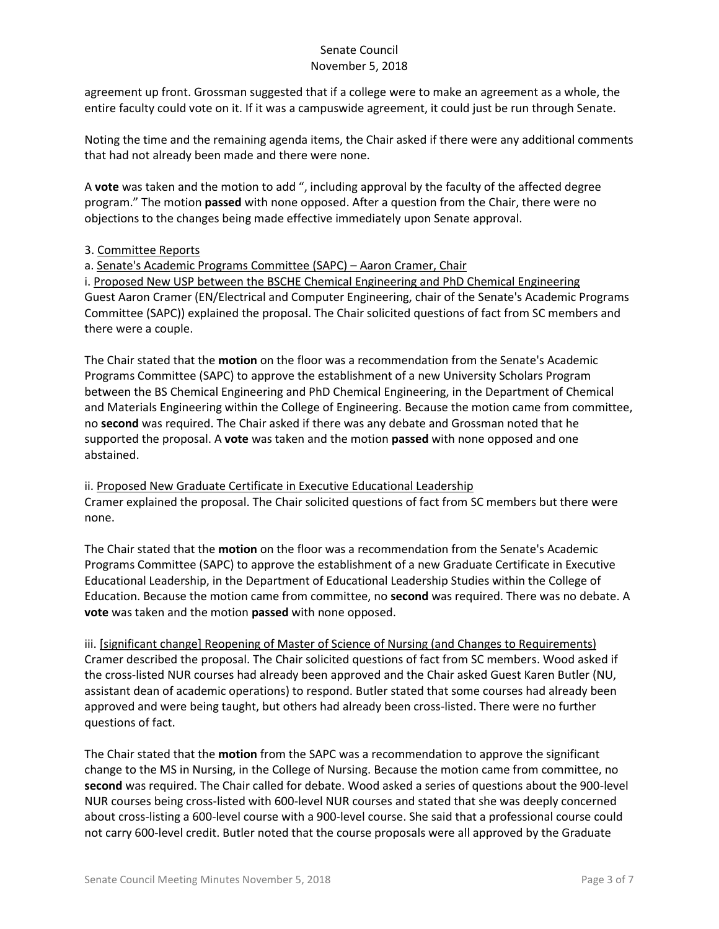agreement up front. Grossman suggested that if a college were to make an agreement as a whole, the entire faculty could vote on it. If it was a campuswide agreement, it could just be run through Senate.

Noting the time and the remaining agenda items, the Chair asked if there were any additional comments that had not already been made and there were none.

A **vote** was taken and the motion to add ", including approval by the faculty of the affected degree program." The motion **passed** with none opposed. After a question from the Chair, there were no objections to the changes being made effective immediately upon Senate approval.

## 3. Committee Reports

a. Senate's Academic Programs Committee (SAPC) – Aaron Cramer, Chair

i. Proposed New USP between the BSCHE Chemical Engineering and PhD Chemical Engineering Guest Aaron Cramer (EN/Electrical and Computer Engineering, chair of the Senate's Academic Programs Committee (SAPC)) explained the proposal. The Chair solicited questions of fact from SC members and there were a couple.

The Chair stated that the **motion** on the floor was a recommendation from the Senate's Academic Programs Committee (SAPC) to approve the establishment of a new University Scholars Program between the BS Chemical Engineering and PhD Chemical Engineering, in the Department of Chemical and Materials Engineering within the College of Engineering. Because the motion came from committee, no **second** was required. The Chair asked if there was any debate and Grossman noted that he supported the proposal. A **vote** was taken and the motion **passed** with none opposed and one abstained.

ii. Proposed New Graduate Certificate in Executive Educational Leadership Cramer explained the proposal. The Chair solicited questions of fact from SC members but there were none.

The Chair stated that the **motion** on the floor was a recommendation from the Senate's Academic Programs Committee (SAPC) to approve the establishment of a new Graduate Certificate in Executive Educational Leadership, in the Department of Educational Leadership Studies within the College of Education. Because the motion came from committee, no **second** was required. There was no debate. A **vote** was taken and the motion **passed** with none opposed.

iii. [significant change] Reopening of Master of Science of Nursing (and Changes to Requirements) Cramer described the proposal. The Chair solicited questions of fact from SC members. Wood asked if the cross-listed NUR courses had already been approved and the Chair asked Guest Karen Butler (NU, assistant dean of academic operations) to respond. Butler stated that some courses had already been approved and were being taught, but others had already been cross-listed. There were no further questions of fact.

The Chair stated that the **motion** from the SAPC was a recommendation to approve the significant change to the MS in Nursing, in the College of Nursing. Because the motion came from committee, no **second** was required. The Chair called for debate. Wood asked a series of questions about the 900-level NUR courses being cross-listed with 600-level NUR courses and stated that she was deeply concerned about cross-listing a 600-level course with a 900-level course. She said that a professional course could not carry 600-level credit. Butler noted that the course proposals were all approved by the Graduate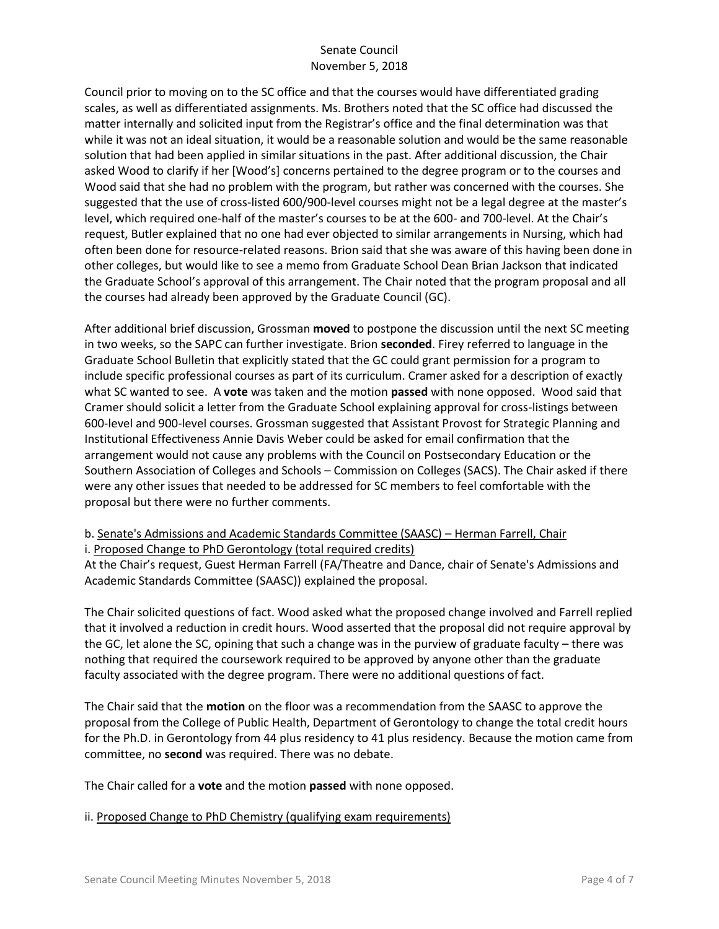Council prior to moving on to the SC office and that the courses would have differentiated grading scales, as well as differentiated assignments. Ms. Brothers noted that the SC office had discussed the matter internally and solicited input from the Registrar's office and the final determination was that while it was not an ideal situation, it would be a reasonable solution and would be the same reasonable solution that had been applied in similar situations in the past. After additional discussion, the Chair asked Wood to clarify if her [Wood's] concerns pertained to the degree program or to the courses and Wood said that she had no problem with the program, but rather was concerned with the courses. She suggested that the use of cross-listed 600/900-level courses might not be a legal degree at the master's level, which required one-half of the master's courses to be at the 600- and 700-level. At the Chair's request, Butler explained that no one had ever objected to similar arrangements in Nursing, which had often been done for resource-related reasons. Brion said that she was aware of this having been done in other colleges, but would like to see a memo from Graduate School Dean Brian Jackson that indicated the Graduate School's approval of this arrangement. The Chair noted that the program proposal and all the courses had already been approved by the Graduate Council (GC).

After additional brief discussion, Grossman **moved** to postpone the discussion until the next SC meeting in two weeks, so the SAPC can further investigate. Brion **seconded**. Firey referred to language in the Graduate School Bulletin that explicitly stated that the GC could grant permission for a program to include specific professional courses as part of its curriculum. Cramer asked for a description of exactly what SC wanted to see. A **vote** was taken and the motion **passed** with none opposed. Wood said that Cramer should solicit a letter from the Graduate School explaining approval for cross-listings between 600-level and 900-level courses. Grossman suggested that Assistant Provost for Strategic Planning and Institutional Effectiveness Annie Davis Weber could be asked for email confirmation that the arrangement would not cause any problems with the Council on Postsecondary Education or the Southern Association of Colleges and Schools – Commission on Colleges (SACS). The Chair asked if there were any other issues that needed to be addressed for SC members to feel comfortable with the proposal but there were no further comments.

# b. Senate's Admissions and Academic Standards Committee (SAASC) – Herman Farrell, Chair

i. Proposed Change to PhD Gerontology (total required credits)

At the Chair's request, Guest Herman Farrell (FA/Theatre and Dance, chair of Senate's Admissions and Academic Standards Committee (SAASC)) explained the proposal.

The Chair solicited questions of fact. Wood asked what the proposed change involved and Farrell replied that it involved a reduction in credit hours. Wood asserted that the proposal did not require approval by the GC, let alone the SC, opining that such a change was in the purview of graduate faculty – there was nothing that required the coursework required to be approved by anyone other than the graduate faculty associated with the degree program. There were no additional questions of fact.

The Chair said that the **motion** on the floor was a recommendation from the SAASC to approve the proposal from the College of Public Health, Department of Gerontology to change the total credit hours for the Ph.D. in Gerontology from 44 plus residency to 41 plus residency. Because the motion came from committee, no **second** was required. There was no debate.

The Chair called for a **vote** and the motion **passed** with none opposed.

### ii. Proposed Change to PhD Chemistry (qualifying exam requirements)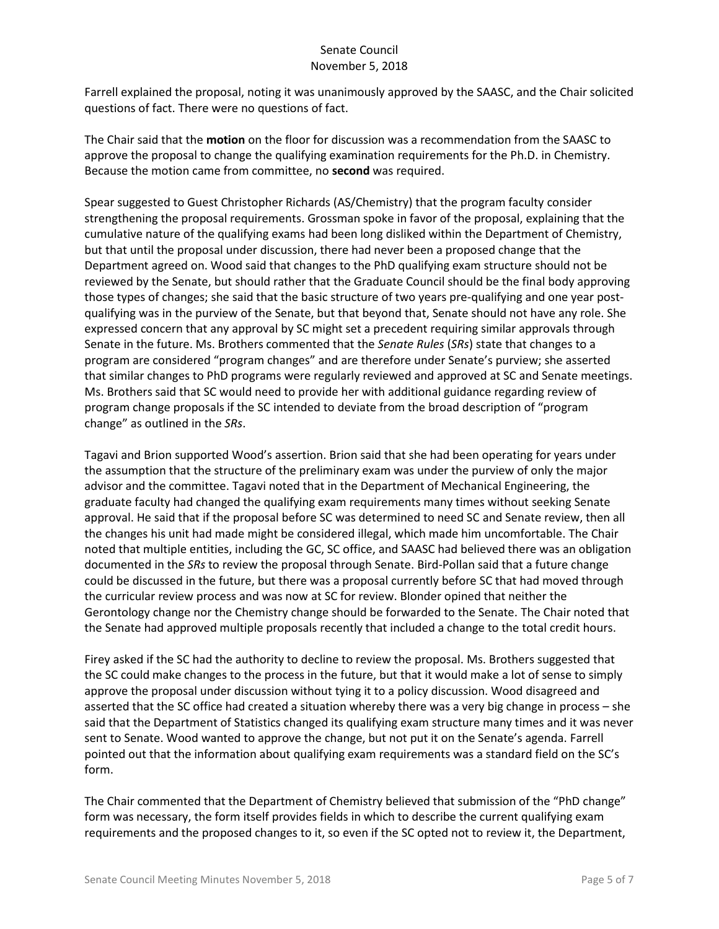Farrell explained the proposal, noting it was unanimously approved by the SAASC, and the Chair solicited questions of fact. There were no questions of fact.

The Chair said that the **motion** on the floor for discussion was a recommendation from the SAASC to approve the proposal to change the qualifying examination requirements for the Ph.D. in Chemistry. Because the motion came from committee, no **second** was required.

Spear suggested to Guest Christopher Richards (AS/Chemistry) that the program faculty consider strengthening the proposal requirements. Grossman spoke in favor of the proposal, explaining that the cumulative nature of the qualifying exams had been long disliked within the Department of Chemistry, but that until the proposal under discussion, there had never been a proposed change that the Department agreed on. Wood said that changes to the PhD qualifying exam structure should not be reviewed by the Senate, but should rather that the Graduate Council should be the final body approving those types of changes; she said that the basic structure of two years pre-qualifying and one year postqualifying was in the purview of the Senate, but that beyond that, Senate should not have any role. She expressed concern that any approval by SC might set a precedent requiring similar approvals through Senate in the future. Ms. Brothers commented that the *Senate Rules* (*SRs*) state that changes to a program are considered "program changes" and are therefore under Senate's purview; she asserted that similar changes to PhD programs were regularly reviewed and approved at SC and Senate meetings. Ms. Brothers said that SC would need to provide her with additional guidance regarding review of program change proposals if the SC intended to deviate from the broad description of "program change" as outlined in the *SRs*.

Tagavi and Brion supported Wood's assertion. Brion said that she had been operating for years under the assumption that the structure of the preliminary exam was under the purview of only the major advisor and the committee. Tagavi noted that in the Department of Mechanical Engineering, the graduate faculty had changed the qualifying exam requirements many times without seeking Senate approval. He said that if the proposal before SC was determined to need SC and Senate review, then all the changes his unit had made might be considered illegal, which made him uncomfortable. The Chair noted that multiple entities, including the GC, SC office, and SAASC had believed there was an obligation documented in the *SRs* to review the proposal through Senate. Bird-Pollan said that a future change could be discussed in the future, but there was a proposal currently before SC that had moved through the curricular review process and was now at SC for review. Blonder opined that neither the Gerontology change nor the Chemistry change should be forwarded to the Senate. The Chair noted that the Senate had approved multiple proposals recently that included a change to the total credit hours.

Firey asked if the SC had the authority to decline to review the proposal. Ms. Brothers suggested that the SC could make changes to the process in the future, but that it would make a lot of sense to simply approve the proposal under discussion without tying it to a policy discussion. Wood disagreed and asserted that the SC office had created a situation whereby there was a very big change in process – she said that the Department of Statistics changed its qualifying exam structure many times and it was never sent to Senate. Wood wanted to approve the change, but not put it on the Senate's agenda. Farrell pointed out that the information about qualifying exam requirements was a standard field on the SC's form.

The Chair commented that the Department of Chemistry believed that submission of the "PhD change" form was necessary, the form itself provides fields in which to describe the current qualifying exam requirements and the proposed changes to it, so even if the SC opted not to review it, the Department,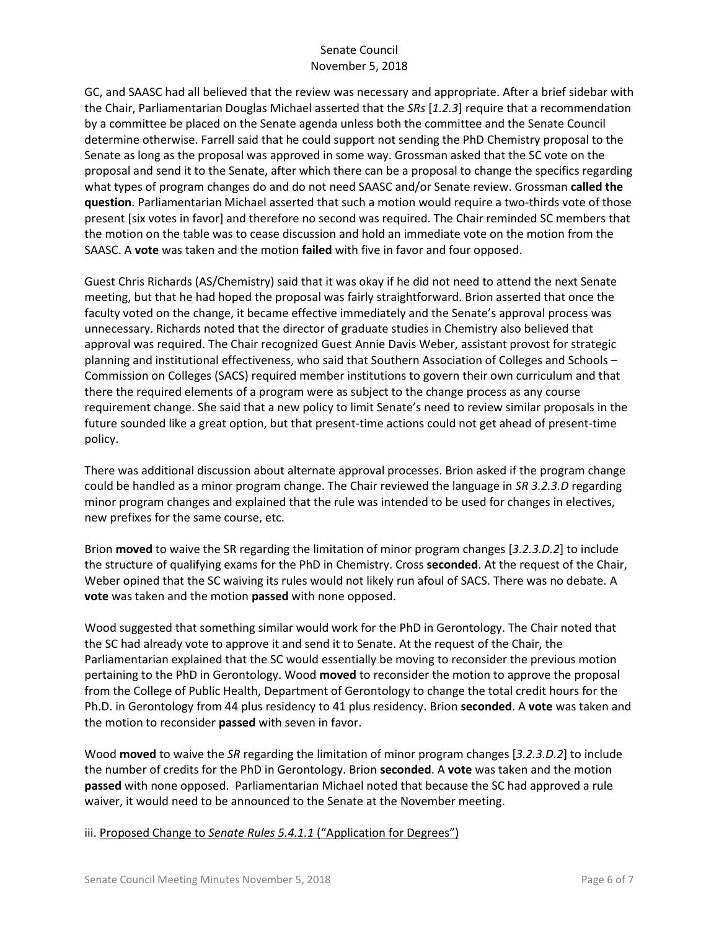GC, and SAASC had all believed that the review was necessary and appropriate. After a brief sidebar with the Chair, Parliamentarian Douglas Michael asserted that the *SRs* [*1.2.3*] require that a recommendation by a committee be placed on the Senate agenda unless both the committee and the Senate Council determine otherwise. Farrell said that he could support not sending the PhD Chemistry proposal to the Senate as long as the proposal was approved in some way. Grossman asked that the SC vote on the proposal and send it to the Senate, after which there can be a proposal to change the specifics regarding what types of program changes do and do not need SAASC and/or Senate review. Grossman **called the question**. Parliamentarian Michael asserted that such a motion would require a two-thirds vote of those present [six votes in favor] and therefore no second was required. The Chair reminded SC members that the motion on the table was to cease discussion and hold an immediate vote on the motion from the SAASC. A **vote** was taken and the motion **failed** with five in favor and four opposed.

Guest Chris Richards (AS/Chemistry) said that it was okay if he did not need to attend the next Senate meeting, but that he had hoped the proposal was fairly straightforward. Brion asserted that once the faculty voted on the change, it became effective immediately and the Senate's approval process was unnecessary. Richards noted that the director of graduate studies in Chemistry also believed that approval was required. The Chair recognized Guest Annie Davis Weber, assistant provost for strategic planning and institutional effectiveness, who said that Southern Association of Colleges and Schools – Commission on Colleges (SACS) required member institutions to govern their own curriculum and that there the required elements of a program were as subject to the change process as any course requirement change. She said that a new policy to limit Senate's need to review similar proposals in the future sounded like a great option, but that present-time actions could not get ahead of present-time policy.

There was additional discussion about alternate approval processes. Brion asked if the program change could be handled as a minor program change. The Chair reviewed the language in *SR 3.2.3.D* regarding minor program changes and explained that the rule was intended to be used for changes in electives, new prefixes for the same course, etc.

Brion **moved** to waive the SR regarding the limitation of minor program changes [*3.2.3.D.2*] to include the structure of qualifying exams for the PhD in Chemistry. Cross **seconded**. At the request of the Chair, Weber opined that the SC waiving its rules would not likely run afoul of SACS. There was no debate. A **vote** was taken and the motion **passed** with none opposed.

Wood suggested that something similar would work for the PhD in Gerontology. The Chair noted that the SC had already vote to approve it and send it to Senate. At the request of the Chair, the Parliamentarian explained that the SC would essentially be moving to reconsider the previous motion pertaining to the PhD in Gerontology. Wood **moved** to reconsider the motion to approve the proposal from the College of Public Health, Department of Gerontology to change the total credit hours for the Ph.D. in Gerontology from 44 plus residency to 41 plus residency. Brion **seconded**. A **vote** was taken and the motion to reconsider **passed** with seven in favor.

Wood **moved** to waive the *SR* regarding the limitation of minor program changes [*3.2.3.D.2*] to include the number of credits for the PhD in Gerontology. Brion **seconded**. A **vote** was taken and the motion **passed** with none opposed. Parliamentarian Michael noted that because the SC had approved a rule waiver, it would need to be announced to the Senate at the November meeting.

iii. Proposed Change to *Senate Rules 5.4.1.1* ("Application for Degrees")